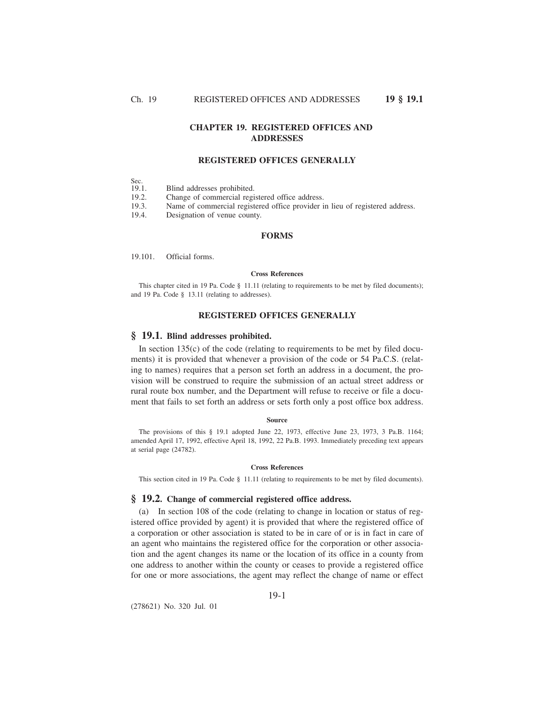# **CHAPTER 19. REGISTERED OFFICES AND ADDRESSES**

# **REGISTERED OFFICES GENERALLY**

Sec.<br>19.1.

Blind addresses prohibited.

19.2. Change of commercial registered office address.<br>19.3. Name of commercial registered office provider i

Name of commercial registered office provider in lieu of registered address.

19.4. Designation of venue county.

# **FORMS**

19.101. Official forms.

## **Cross References**

This chapter cited in 19 Pa. Code § 11.11 (relating to requirements to be met by filed documents); and 19 Pa. Code § 13.11 (relating to addresses).

# **REGISTERED OFFICES GENERALLY**

# **§ 19.1. Blind addresses prohibited.**

In section  $135(c)$  of the code (relating to requirements to be met by filed documents) it is provided that whenever a provision of the code or 54 Pa.C.S. (relating to names) requires that a person set forth an address in a document, the provision will be construed to require the submission of an actual street address or rural route box number, and the Department will refuse to receive or file a document that fails to set forth an address or sets forth only a post office box address.

#### **Source**

The provisions of this § 19.1 adopted June 22, 1973, effective June 23, 1973, 3 Pa.B. 1164; amended April 17, 1992, effective April 18, 1992, 22 Pa.B. 1993. Immediately preceding text appears at serial page (24782).

## **Cross References**

This section cited in 19 Pa. Code § 11.11 (relating to requirements to be met by filed documents).

## **§ 19.2. Change of commercial registered office address.**

(a) In section 108 of the code (relating to change in location or status of registered office provided by agent) it is provided that where the registered office of a corporation or other association is stated to be in care of or is in fact in care of an agent who maintains the registered office for the corporation or other association and the agent changes its name or the location of its office in a county from one address to another within the county or ceases to provide a registered office for one or more associations, the agent may reflect the change of name or effect

(278621) No. 320 Jul. 01

19-1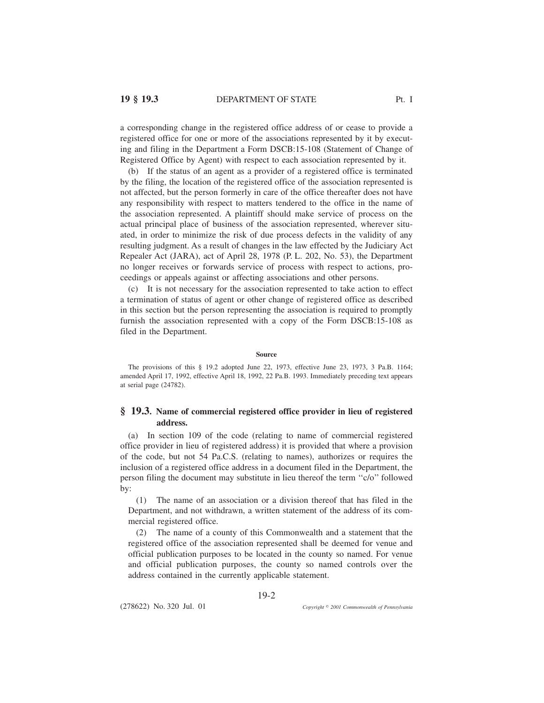a corresponding change in the registered office address of or cease to provide a registered office for one or more of the associations represented by it by executing and filing in the Department a Form DSCB:15-108 (Statement of Change of Registered Office by Agent) with respect to each association represented by it.

(b) If the status of an agent as a provider of a registered office is terminated by the filing, the location of the registered office of the association represented is not affected, but the person formerly in care of the office thereafter does not have any responsibility with respect to matters tendered to the office in the name of the association represented. A plaintiff should make service of process on the actual principal place of business of the association represented, wherever situated, in order to minimize the risk of due process defects in the validity of any resulting judgment. As a result of changes in the law effected by the Judiciary Act Repealer Act (JARA), act of April 28, 1978 (P. L. 202, No. 53), the Department no longer receives or forwards service of process with respect to actions, proceedings or appeals against or affecting associations and other persons.

(c) It is not necessary for the association represented to take action to effect a termination of status of agent or other change of registered office as described in this section but the person representing the association is required to promptly furnish the association represented with a copy of the Form DSCB:15-108 as filed in the Department.

#### **Source**

The provisions of this § 19.2 adopted June 22, 1973, effective June 23, 1973, 3 Pa.B. 1164; amended April 17, 1992, effective April 18, 1992, 22 Pa.B. 1993. Immediately preceding text appears at serial page (24782).

# **§ 19.3. Name of commercial registered office provider in lieu of registered address.**

(a) In section 109 of the code (relating to name of commercial registered office provider in lieu of registered address) it is provided that where a provision of the code, but not 54 Pa.C.S. (relating to names), authorizes or requires the inclusion of a registered office address in a document filed in the Department, the person filing the document may substitute in lieu thereof the term ''c/o'' followed by:

(1) The name of an association or a division thereof that has filed in the Department, and not withdrawn, a written statement of the address of its commercial registered office.

(2) The name of a county of this Commonwealth and a statement that the registered office of the association represented shall be deemed for venue and official publication purposes to be located in the county so named. For venue and official publication purposes, the county so named controls over the address contained in the currently applicable statement.

19-2

(278622) No. 320 Jul. 01

*2001 Commonwealth of Pennsylvania*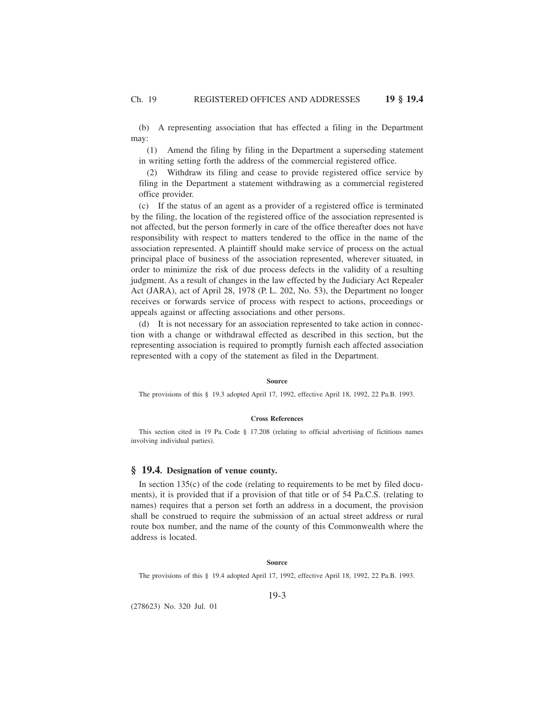(b) A representing association that has effected a filing in the Department may:

(1) Amend the filing by filing in the Department a superseding statement in writing setting forth the address of the commercial registered office.

(2) Withdraw its filing and cease to provide registered office service by filing in the Department a statement withdrawing as a commercial registered office provider.

(c) If the status of an agent as a provider of a registered office is terminated by the filing, the location of the registered office of the association represented is not affected, but the person formerly in care of the office thereafter does not have responsibility with respect to matters tendered to the office in the name of the association represented. A plaintiff should make service of process on the actual principal place of business of the association represented, wherever situated, in order to minimize the risk of due process defects in the validity of a resulting judgment. As a result of changes in the law effected by the Judiciary Act Repealer Act (JARA), act of April 28, 1978 (P. L. 202, No. 53), the Department no longer receives or forwards service of process with respect to actions, proceedings or appeals against or affecting associations and other persons.

(d) It is not necessary for an association represented to take action in connection with a change or withdrawal effected as described in this section, but the representing association is required to promptly furnish each affected association represented with a copy of the statement as filed in the Department.

### **Source**

The provisions of this § 19.3 adopted April 17, 1992, effective April 18, 1992, 22 Pa.B. 1993.

# **Cross References**

This section cited in 19 Pa. Code § 17.208 (relating to official advertising of fictitious names involving individual parties).

## **§ 19.4. Designation of venue county.**

In section  $135(c)$  of the code (relating to requirements to be met by filed documents), it is provided that if a provision of that title or of 54 Pa.C.S. (relating to names) requires that a person set forth an address in a document, the provision shall be construed to require the submission of an actual street address or rural route box number, and the name of the county of this Commonwealth where the address is located.

#### **Source**

The provisions of this § 19.4 adopted April 17, 1992, effective April 18, 1992, 22 Pa.B. 1993.

19-3

(278623) No. 320 Jul. 01